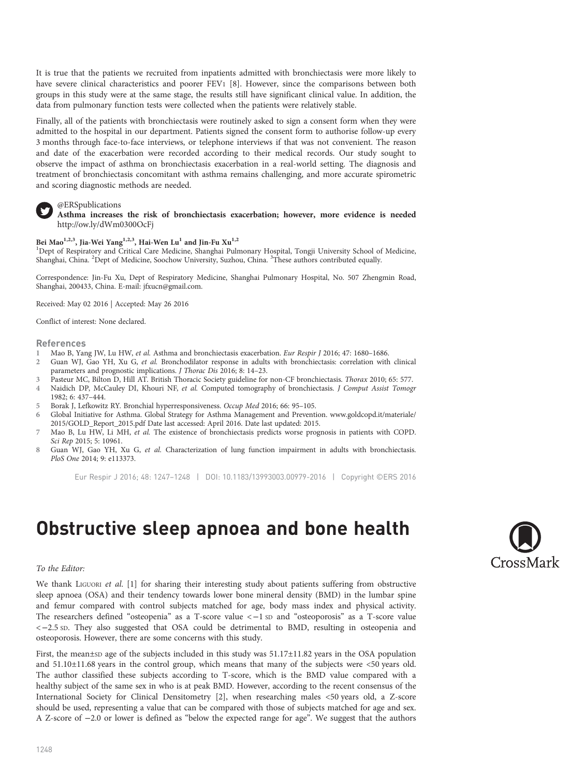It is true that the patients we recruited from inpatients admitted with bronchiectasis were more likely to have severe clinical characteristics and poorer FEV1 [8]. However, since the comparisons between both groups in this study were at the same stage, the results still have significant clinical value. In addition, the data from pulmonary function tests were collected when the patients were relatively stable.

Finally, all of the patients with bronchiectasis were routinely asked to sign a consent form when they were admitted to the hospital in our department. Patients signed the consent form to authorise follow-up every 3 months through face-to-face interviews, or telephone interviews if that was not convenient. The reason and date of the exacerbation were recorded according to their medical records. Our study sought to observe the impact of asthma on bronchiectasis exacerbation in a real-world setting. The diagnosis and treatment of bronchiectasis concomitant with asthma remains challenging, and more accurate spirometric and scoring diagnostic methods are needed.

## @ERSpublications

Asthma increases the risk of bronchiectasis exacerbation; however, more evidence is needed <http://ow.ly/dWm0300OcFj>

## Bei Mao<sup>1,2,3</sup>, Jia-Wei Yang<sup>1,2,3</sup>, Hai-Wen Lu<sup>1</sup> and Jin-Fu Xu<sup>1,2</sup>

1 Dept of Respiratory and Critical Care Medicine, Shanghai Pulmonary Hospital, Tongji University School of Medicine, Shanghai, China. <sup>2</sup>Dept of Medicine, Soochow University, Suzhou, China. <sup>3</sup>These authors contributed equally.

Correspondence: Jin-Fu Xu, Dept of Respiratory Medicine, Shanghai Pulmonary Hospital, No. 507 Zhengmin Road, Shanghai, 200433, China. E-mail: [jfxucn@gmail.com](mailto:jfxucn@gmail.com).

Received: May 02 2016 | Accepted: May 26 2016

Conflict of interest: None declared.

#### References

- 1 Mao B, Yang JW, Lu HW, *et al.* Asthma and bronchiectasis exacerbation. *Eur Respir J* 2016; 47: 1680–1686.<br>2 Guan WI, Gao YH, Xu G, *et al.* Bronchodilator response in adults with bronchiectasis: correlation with
- Guan WJ, Gao YH, Xu G, et al. Bronchodilator response in adults with bronchiectasis: correlation with clinical parameters and prognostic implications. J Thorac Dis 2016; 8: 14–23.
- 3 Pasteur MC, Bilton D, Hill AT. British Thoracic Society guideline for non-CF bronchiectasis. Thorax 2010; 65: 577.<br>4 Naidich DP. McCauley DL. Khouri NF. et al. Computed tomography of bronchiectasis. *I Comput Assist Tomo*
- Naidich DP, McCauley DI, Khouri NF, et al. Computed tomography of bronchiectasis. J Comput Assist Tomogr 1982; 6: 437–444.
- 5 Borak J, Lefkowitz RY. Bronchial hyperresponsiveness. Occup Med 2016; 66: 95–105.
- 6 Global Initiative for Asthma. Global Strategy for Asthma Management and Prevention. [www.goldcopd.it/materiale/](http://www.goldcopd.it/materiale/2015/GOLD_Report_2015.pdf) [2015/GOLD\\_Report\\_2015.pdf](http://www.goldcopd.it/materiale/2015/GOLD_Report_2015.pdf) Date last accessed: April 2016. Date last updated: 2015.
- 7 Mao B, Lu HW, Li MH, et al. The existence of bronchiectasis predicts worse prognosis in patients with COPD. Sci Rep 2015; 5: 10961.
- 8 Guan WJ, Gao YH, Xu G, et al. Characterization of lung function impairment in adults with bronchiectasis. PloS One 2014; 9: e113373.

Eur Respir J 2016; 48: 1247–1248 | DOI: 10.1183/13993003.00979-2016 | Copyright ©ERS 2016

# Obstructive sleep apnoea and bone health

#### To the Editor:

We thank LIGUORI et al. [[1](#page-1-0)] for sharing their interesting study about patients suffering from obstructive sleep apnoea (OSA) and their tendency towards lower bone mineral density (BMD) in the lumbar spine and femur compared with control subjects matched for age, body mass index and physical activity. The researchers defined "osteopenia" as a T-score value <−1 SD and "osteoporosis" as a T-score value <−2.5 SD. They also suggested that OSA could be detrimental to BMD, resulting in osteopenia and osteoporosis. However, there are some concerns with this study.

First, the mean±sp age of the subjects included in this study was  $51.17\pm11.82$  years in the OSA population and 51.10±11.68 years in the control group, which means that many of the subjects were <50 years old. The author classified these subjects according to T-score, which is the BMD value compared with a healthy subject of the same sex in who is at peak BMD. However, according to the recent consensus of the International Society for Clinical Densitometry [\[2\]](#page-1-0), when researching males <50 years old, a Z-score should be used, representing a value that can be compared with those of subjects matched for age and sex. A Z-score of −2.0 or lower is defined as "below the expected range for age". We suggest that the authors